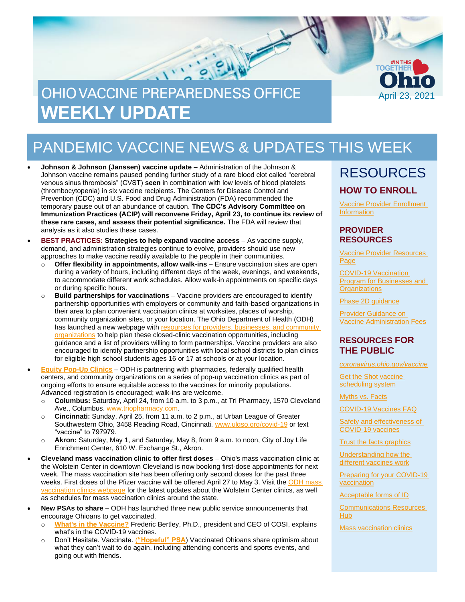

# PANDEMIC VACCINE NEWS & UPDATES THIS WEEK

- **Johnson & Johnson (Janssen) vaccine update** Administration of the Johnson & Johnson vaccine remains paused pending further study of a rare blood clot called "cerebral venous sinus thrombosis" (CVST) **seen** in combination with low levels of blood platelets (thrombocytopenia) in six vaccine recipients. The Centers for Disease Control and Prevention (CDC) and U.S. Food and Drug Administration (FDA) recommended the temporary pause out of an abundance of caution. **The CDC's Advisory Committee on Immunization Practices (ACIP) will reconvene Friday, April 23, to continue its review of these rare cases, and assess their potential significance.** The FDA will review that analysis as it also studies these cases.
- **BEST PRACTICES: Strategies to help expand vaccine access** As vaccine supply, demand, and administration strategies continue to evolve, providers should use new approaches to make vaccine readily available to the people in their communities.
	- o **Offer flexibility in appointments, allow walk-ins** Ensure vaccination sites are open during a variety of hours, including different days of the week, evenings, and weekends, to accommodate different work schedules. Allow walk-in appointments on specific days or during specific hours.
	- o **Build partnerships for vaccinations** Vaccine providers are encouraged to identify partnership opportunities with employers or community and faith-based organizations in their area to plan convenient vaccination clinics at worksites, places of worship, community organization sites, or your location. The Ohio Department of Health (ODH) has launched a new webpage with [resources for providers, businesses,](https://coronavirus.ohio.gov/wps/portal/gov/covid-19/covid-19-vaccination-program/businesses-and-organizations) and community [organizations](https://coronavirus.ohio.gov/wps/portal/gov/covid-19/covid-19-vaccination-program/businesses-and-organizations) to help plan these closed-clinic vaccination opportunities, including guidance and a list of providers willing to form partnerships. Vaccine providers are also encouraged to identify partnership opportunities with local school districts to plan clinics for eligible high school students ages 16 or 17 at schools or at your location.
- **[Equity Pop-Up Clinics](https://coronavirus.ohio.gov/wps/portal/gov/covid-19/resources/general-resources/covid-19-vaccination-pop-up-clinics)** ODH is partnering with pharmacies, federally qualified health centers, and community organizations on a series of pop-up vaccination clinics as part of ongoing efforts to ensure equitable access to the vaccines for minority populations. Advanced registration is encouraged; walk-ins are welcome.
	- o **Columbus:** Saturday, April 24, from 10 a.m. to 3 p.m., at Tri Pharmacy, 1570 Cleveland Ave., Columbus[. www.triopharmacy.com.](http://www.triopharmacy.com/)
	- o **Cincinnati:** Sunday, April 25, from 11 a.m. to 2 p.m., at Urban League of Greater Southwestern Ohio, 3458 Reading Road, Cincinnati. [www.ulgso.org/covid-19](http://www.ulgso.org/covid-19) or text "vaccine" to 797979.
	- o **Akron:** Saturday, May 1, and Saturday, May 8, from 9 a.m. to noon, City of Joy Life Enrichment Center, 610 W. Exchange St., Akron.
- **Cleveland mass vaccination clinic to offer first doses** Ohio's mass vaccination clinic at the Wolstein Center in downtown Cleveland is now booking first-dose appointments for next week. The mass vaccination site has been offering only second doses for the past three weeks. First doses of the Pfizer vaccine will be offered April 27 to May 3. Visit the ODH mass [vaccination clinics webpage](https://coronavirus.ohio.gov/wps/portal/gov/covid-19/covid-19-vaccination-program/resources) for the latest updates about the Wolstein Center clinics, as well as schedules for mass vaccination clinics around the state.
- **New PSAs to share**  ODH has launched three new public service announcements that encourage Ohioans to get vaccinated.
	- o **[What's in the Vaccine?](https://www.youtube.com/watch?v=-Gg5ETxxspA)** Frederic Bertley, Ph.D., president and CEO of COSI, explains what's in the COVID-19 vaccines.
	- o Don't Hesitate. Vaccinate. (**["Hopeful" PSA](https://www.youtube.com/watch?v=yGOEGaiDi_o)**) Vaccinated Ohioans share optimism about what they can't wait to do again, including attending concerts and sports events, and going out with friends.

### RESOURCES **HOW TO ENROLL**

[Vaccine Provider Enrollment](https://odh.ohio.gov/wps/portal/gov/odh/know-our-programs/immunization/pandemic-vaccine-provider/ohio-covid-19-provider-enrollment)  **[Information](https://odh.ohio.gov/wps/portal/gov/odh/know-our-programs/immunization/pandemic-vaccine-provider/ohio-covid-19-provider-enrollment)** 

#### **PROVIDER RESOURCES**

[Vaccine Provider Resources](https://odh.ohio.gov/wps/portal/gov/odh/know-our-programs/covid-19-vaccine-provider/latest-resources/latest-resources) [Page](https://odh.ohio.gov/wps/portal/gov/odh/know-our-programs/covid-19-vaccine-provider/latest-resources/latest-resources)

[COVID-19 Vaccination](https://coronavirus.ohio.gov/wps/portal/gov/covid-19/covid-19-vaccination-program/businesses-and-organizations)  [Program for Businesses and](https://coronavirus.ohio.gov/wps/portal/gov/covid-19/covid-19-vaccination-program/businesses-and-organizations)  **[Organizations](https://coronavirus.ohio.gov/wps/portal/gov/covid-19/covid-19-vaccination-program/businesses-and-organizations)** 

[Phase 2D guidance](https://odh.ohio.gov/static/covid19/vaccine-providers/provider-info-phase-2d.pdf)

[Provider Guidance on](https://odh.ohio.gov/static/covid19/vaccine-providers/provider-guidance-vaccine-administration-fees.pdf)  [Vaccine Administration Fees](https://odh.ohio.gov/static/covid19/vaccine-providers/provider-guidance-vaccine-administration-fees.pdf)

#### **RESOURCES FOR THE PUBLIC**

*[coronavirus.ohio.gov/vaccine](https://coronavirus.ohio.gov/vaccine)*

Get the Shot vaccine [scheduling system](https://gettheshot.coronavirus.ohio.gov/)

[Myths vs. Facts](https://coronavirus.ohio.gov/wps/portal/gov/covid-19/covid-19-vaccination-program/19-vaccine-myths-vs-facts/19-vaccine-myths-vs-facts)

[COVID-19 Vaccines FAQ](https://coronavirus.ohio.gov/wps/portal/gov/covid-19/resources/general-resources/frequently-asked-questions+covid-19-vaccine)

[Safety and effectiveness of](https://coronavirus.ohio.gov/static/vaccine/covid-19-vaccine-safety.pdf)  [COVID-19 vaccines](https://coronavirus.ohio.gov/static/vaccine/covid-19-vaccine-safety.pdf)

**[Trust the facts graphics](https://coronavirus.ohio.gov/static/vaccine/trust_the_facts_full.jpg)** 

[Understanding how the](https://coronavirus.ohio.gov/static/vaccine/covid-19-how-vaccines-work.pdf)  [different vaccines work](https://coronavirus.ohio.gov/static/vaccine/covid-19-how-vaccines-work.pdf)

[Preparing for your COVID-19](https://coronavirus.ohio.gov/static/vaccine/covid-19-fact-sheet-vaccine-appointment.pdf)  [vaccination](https://coronavirus.ohio.gov/static/vaccine/covid-19-fact-sheet-vaccine-appointment.pdf)

[Acceptable forms of ID](https://coronavirus.ohio.gov/static/vaccine/covid-19-fact-sheet-forms-of-id.pdf)

[Communications Resources](https://coronavirus.ohio.gov/wps/portal/gov/covid-19/health-equity/communications-resources-hub/communications-resources-hub)  [Hub](https://coronavirus.ohio.gov/wps/portal/gov/covid-19/health-equity/communications-resources-hub/communications-resources-hub)

[Mass vaccination clinics](https://coronavirus.ohio.gov/wps/portal/gov/covid-19/covid-19-vaccination-program/resources/covid-19-mass-vaccination-clinics)